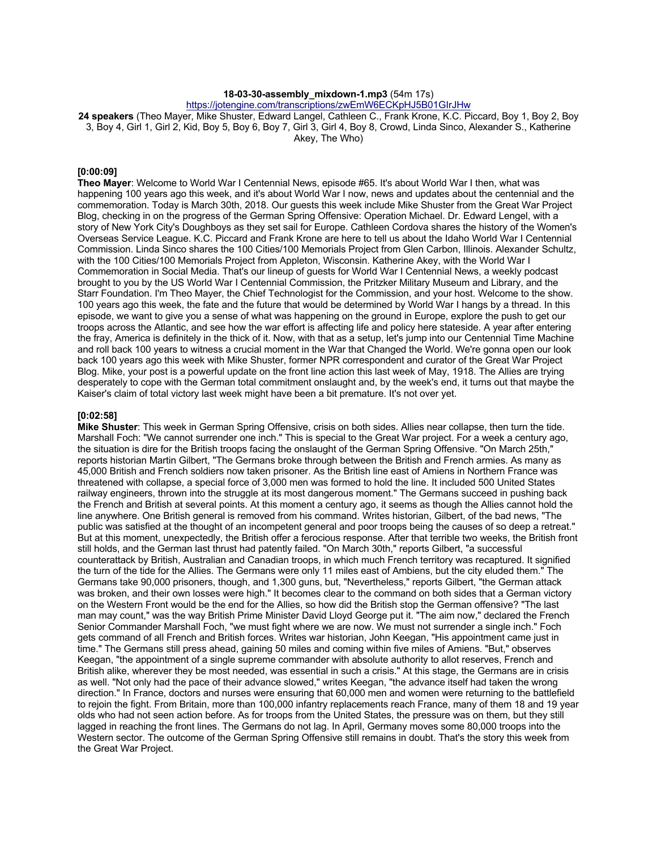### **18-03-30-assembly\_mixdown-1.mp3** (54m 17s)

https://jotengine.com/transcriptions/zwEmW6ECKpHJ5B01GIrJHw

**24 speakers** (Theo Mayer, Mike Shuster, Edward Langel, Cathleen C., Frank Krone, K.C. Piccard, Boy 1, Boy 2, Boy 3, Boy 4, Girl 1, Girl 2, Kid, Boy 5, Boy 6, Boy 7, Girl 3, Girl 4, Boy 8, Crowd, Linda Sinco, Alexander S., Katherine Akey, The Who)

# **[0:00:09]**

**Theo Mayer**: Welcome to World War I Centennial News, episode #65. It's about World War I then, what was happening 100 years ago this week, and it's about World War I now, news and updates about the centennial and the commemoration. Today is March 30th, 2018. Our guests this week include Mike Shuster from the Great War Project Blog, checking in on the progress of the German Spring Offensive: Operation Michael. Dr. Edward Lengel, with a story of New York City's Doughboys as they set sail for Europe. Cathleen Cordova shares the history of the Women's Overseas Service League. K.C. Piccard and Frank Krone are here to tell us about the Idaho World War I Centennial Commission. Linda Sinco shares the 100 Cities/100 Memorials Project from Glen Carbon, Illinois. Alexander Schultz, with the 100 Cities/100 Memorials Project from Appleton, Wisconsin. Katherine Akey, with the World War I Commemoration in Social Media. That's our lineup of guests for World War I Centennial News, a weekly podcast brought to you by the US World War I Centennial Commission, the Pritzker Military Museum and Library, and the Starr Foundation. I'm Theo Mayer, the Chief Technologist for the Commission, and your host. Welcome to the show. 100 years ago this week, the fate and the future that would be determined by World War I hangs by a thread. In this episode, we want to give you a sense of what was happening on the ground in Europe, explore the push to get our troops across the Atlantic, and see how the war effort is affecting life and policy here stateside. A year after entering the fray, America is definitely in the thick of it. Now, with that as a setup, let's jump into our Centennial Time Machine and roll back 100 years to witness a crucial moment in the War that Changed the World. We're gonna open our look back 100 years ago this week with Mike Shuster, former NPR correspondent and curator of the Great War Project Blog. Mike, your post is a powerful update on the front line action this last week of May, 1918. The Allies are trying desperately to cope with the German total commitment onslaught and, by the week's end, it turns out that maybe the Kaiser's claim of total victory last week might have been a bit premature. It's not over yet.

# **[0:02:58]**

**Mike Shuster**: This week in German Spring Offensive, crisis on both sides. Allies near collapse, then turn the tide. Marshall Foch: "We cannot surrender one inch." This is special to the Great War project. For a week a century ago, the situation is dire for the British troops facing the onslaught of the German Spring Offensive. "On March 25th," reports historian Martin Gilbert, "The Germans broke through between the British and French armies. As many as 45,000 British and French soldiers now taken prisoner. As the British line east of Amiens in Northern France was threatened with collapse, a special force of 3,000 men was formed to hold the line. It included 500 United States railway engineers, thrown into the struggle at its most dangerous moment." The Germans succeed in pushing back the French and British at several points. At this moment a century ago, it seems as though the Allies cannot hold the line anywhere. One British general is removed from his command. Writes historian, Gilbert, of the bad news, "The public was satisfied at the thought of an incompetent general and poor troops being the causes of so deep a retreat." But at this moment, unexpectedly, the British offer a ferocious response. After that terrible two weeks, the British front still holds, and the German last thrust had patently failed. "On March 30th," reports Gilbert, "a successful counterattack by British, Australian and Canadian troops, in which much French territory was recaptured. It signified the turn of the tide for the Allies. The Germans were only 11 miles east of Ambiens, but the city eluded them." The Germans take 90,000 prisoners, though, and 1,300 guns, but, "Nevertheless," reports Gilbert, "the German attack was broken, and their own losses were high." It becomes clear to the command on both sides that a German victory on the Western Front would be the end for the Allies, so how did the British stop the German offensive? "The last man may count," was the way British Prime Minister David Lloyd George put it. "The aim now," declared the French Senior Commander Marshall Foch, "we must fight where we are now. We must not surrender a single inch." Foch gets command of all French and British forces. Writes war historian, John Keegan, "His appointment came just in time." The Germans still press ahead, gaining 50 miles and coming within five miles of Amiens. "But," observes Keegan, "the appointment of a single supreme commander with absolute authority to allot reserves, French and British alike, wherever they be most needed, was essential in such a crisis." At this stage, the Germans are in crisis as well. "Not only had the pace of their advance slowed," writes Keegan, "the advance itself had taken the wrong direction." In France, doctors and nurses were ensuring that 60,000 men and women were returning to the battlefield to rejoin the fight. From Britain, more than 100,000 infantry replacements reach France, many of them 18 and 19 year olds who had not seen action before. As for troops from the United States, the pressure was on them, but they still lagged in reaching the front lines. The Germans do not lag. In April, Germany moves some 80,000 troops into the Western sector. The outcome of the German Spring Offensive still remains in doubt. That's the story this week from the Great War Project.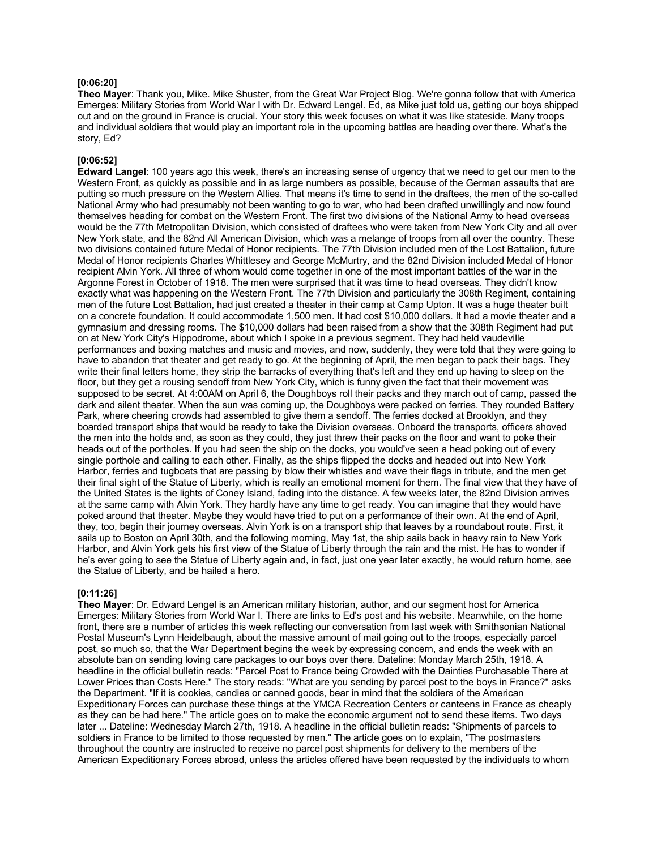### **[0:06:20]**

**Theo Mayer**: Thank you, Mike. Mike Shuster, from the Great War Project Blog. We're gonna follow that with America Emerges: Military Stories from World War I with Dr. Edward Lengel. Ed, as Mike just told us, getting our boys shipped out and on the ground in France is crucial. Your story this week focuses on what it was like stateside. Many troops and individual soldiers that would play an important role in the upcoming battles are heading over there. What's the story, Ed?

#### **[0:06:52]**

**Edward Langel**: 100 years ago this week, there's an increasing sense of urgency that we need to get our men to the Western Front, as quickly as possible and in as large numbers as possible, because of the German assaults that are putting so much pressure on the Western Allies. That means it's time to send in the draftees, the men of the so-called National Army who had presumably not been wanting to go to war, who had been drafted unwillingly and now found themselves heading for combat on the Western Front. The first two divisions of the National Army to head overseas would be the 77th Metropolitan Division, which consisted of draftees who were taken from New York City and all over New York state, and the 82nd All American Division, which was a melange of troops from all over the country. These two divisions contained future Medal of Honor recipients. The 77th Division included men of the Lost Battalion, future Medal of Honor recipients Charles Whittlesey and George McMurtry, and the 82nd Division included Medal of Honor recipient Alvin York. All three of whom would come together in one of the most important battles of the war in the Argonne Forest in October of 1918. The men were surprised that it was time to head overseas. They didn't know exactly what was happening on the Western Front. The 77th Division and particularly the 308th Regiment, containing men of the future Lost Battalion, had just created a theater in their camp at Camp Upton. It was a huge theater built on a concrete foundation. It could accommodate 1,500 men. It had cost \$10,000 dollars. It had a movie theater and a gymnasium and dressing rooms. The \$10,000 dollars had been raised from a show that the 308th Regiment had put on at New York City's Hippodrome, about which I spoke in a previous segment. They had held vaudeville performances and boxing matches and music and movies, and now, suddenly, they were told that they were going to have to abandon that theater and get ready to go. At the beginning of April, the men began to pack their bags. They write their final letters home, they strip the barracks of everything that's left and they end up having to sleep on the floor, but they get a rousing sendoff from New York City, which is funny given the fact that their movement was supposed to be secret. At 4:00AM on April 6, the Doughboys roll their packs and they march out of camp, passed the dark and silent theater. When the sun was coming up, the Doughboys were packed on ferries. They rounded Battery Park, where cheering crowds had assembled to give them a sendoff. The ferries docked at Brooklyn, and they boarded transport ships that would be ready to take the Division overseas. Onboard the transports, officers shoved the men into the holds and, as soon as they could, they just threw their packs on the floor and want to poke their heads out of the portholes. If you had seen the ship on the docks, you would've seen a head poking out of every single porthole and calling to each other. Finally, as the ships flipped the docks and headed out into New York Harbor, ferries and tugboats that are passing by blow their whistles and wave their flags in tribute, and the men get their final sight of the Statue of Liberty, which is really an emotional moment for them. The final view that they have of the United States is the lights of Coney Island, fading into the distance. A few weeks later, the 82nd Division arrives at the same camp with Alvin York. They hardly have any time to get ready. You can imagine that they would have poked around that theater. Maybe they would have tried to put on a performance of their own. At the end of April, they, too, begin their journey overseas. Alvin York is on a transport ship that leaves by a roundabout route. First, it sails up to Boston on April 30th, and the following morning, May 1st, the ship sails back in heavy rain to New York Harbor, and Alvin York gets his first view of the Statue of Liberty through the rain and the mist. He has to wonder if he's ever going to see the Statue of Liberty again and, in fact, just one year later exactly, he would return home, see the Statue of Liberty, and be hailed a hero.

#### **[0:11:26]**

**Theo Mayer**: Dr. Edward Lengel is an American military historian, author, and our segment host for America Emerges: Military Stories from World War I. There are links to Ed's post and his website. Meanwhile, on the home front, there are a number of articles this week reflecting our conversation from last week with Smithsonian National Postal Museum's Lynn Heidelbaugh, about the massive amount of mail going out to the troops, especially parcel post, so much so, that the War Department begins the week by expressing concern, and ends the week with an absolute ban on sending loving care packages to our boys over there. Dateline: Monday March 25th, 1918. A headline in the official bulletin reads: "Parcel Post to France being Crowded with the Dainties Purchasable There at Lower Prices than Costs Here." The story reads: "What are you sending by parcel post to the boys in France?" asks the Department. "If it is cookies, candies or canned goods, bear in mind that the soldiers of the American Expeditionary Forces can purchase these things at the YMCA Recreation Centers or canteens in France as cheaply as they can be had here." The article goes on to make the economic argument not to send these items. Two days later ... Dateline: Wednesday March 27th, 1918. A headline in the official bulletin reads: "Shipments of parcels to soldiers in France to be limited to those requested by men." The article goes on to explain, "The postmasters throughout the country are instructed to receive no parcel post shipments for delivery to the members of the American Expeditionary Forces abroad, unless the articles offered have been requested by the individuals to whom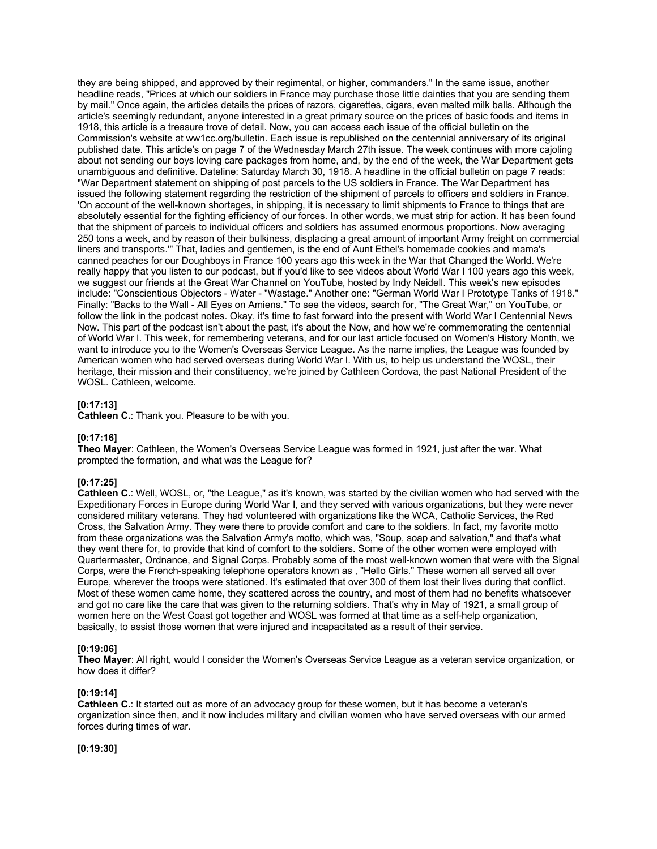they are being shipped, and approved by their regimental, or higher, commanders." In the same issue, another headline reads, "Prices at which our soldiers in France may purchase those little dainties that you are sending them by mail." Once again, the articles details the prices of razors, cigarettes, cigars, even malted milk balls. Although the article's seemingly redundant, anyone interested in a great primary source on the prices of basic foods and items in 1918, this article is a treasure trove of detail. Now, you can access each issue of the official bulletin on the Commission's website at ww1cc.org/bulletin. Each issue is republished on the centennial anniversary of its original published date. This article's on page 7 of the Wednesday March 27th issue. The week continues with more cajoling about not sending our boys loving care packages from home, and, by the end of the week, the War Department gets unambiguous and definitive. Dateline: Saturday March 30, 1918. A headline in the official bulletin on page 7 reads: "War Department statement on shipping of post parcels to the US soldiers in France. The War Department has issued the following statement regarding the restriction of the shipment of parcels to officers and soldiers in France. 'On account of the well-known shortages, in shipping, it is necessary to limit shipments to France to things that are absolutely essential for the fighting efficiency of our forces. In other words, we must strip for action. It has been found that the shipment of parcels to individual officers and soldiers has assumed enormous proportions. Now averaging 250 tons a week, and by reason of their bulkiness, displacing a great amount of important Army freight on commercial liners and transports.'" That, ladies and gentlemen, is the end of Aunt Ethel's homemade cookies and mama's canned peaches for our Doughboys in France 100 years ago this week in the War that Changed the World. We're really happy that you listen to our podcast, but if you'd like to see videos about World War I 100 years ago this week, we suggest our friends at the Great War Channel on YouTube, hosted by Indy Neidell. This week's new episodes include: "Conscientious Objectors - Water - "Wastage." Another one: "German World War I Prototype Tanks of 1918." Finally: "Backs to the Wall - All Eyes on Amiens." To see the videos, search for, "The Great War," on YouTube, or follow the link in the podcast notes. Okay, it's time to fast forward into the present with World War I Centennial News Now. This part of the podcast isn't about the past, it's about the Now, and how we're commemorating the centennial of World War I. This week, for remembering veterans, and for our last article focused on Women's History Month, we want to introduce you to the Women's Overseas Service League. As the name implies, the League was founded by American women who had served overseas during World War I. With us, to help us understand the WOSL, their heritage, their mission and their constituency, we're joined by Cathleen Cordova, the past National President of the WOSL. Cathleen, welcome.

### **[0:17:13]**

**Cathleen C.**: Thank you. Pleasure to be with you.

#### **[0:17:16]**

**Theo Mayer**: Cathleen, the Women's Overseas Service League was formed in 1921, just after the war. What prompted the formation, and what was the League for?

#### **[0:17:25]**

**Cathleen C.**: Well, WOSL, or, "the League," as it's known, was started by the civilian women who had served with the Expeditionary Forces in Europe during World War I, and they served with various organizations, but they were never considered military veterans. They had volunteered with organizations like the WCA, Catholic Services, the Red Cross, the Salvation Army. They were there to provide comfort and care to the soldiers. In fact, my favorite motto from these organizations was the Salvation Army's motto, which was, "Soup, soap and salvation," and that's what they went there for, to provide that kind of comfort to the soldiers. Some of the other women were employed with Quartermaster, Ordnance, and Signal Corps. Probably some of the most well-known women that were with the Signal Corps, were the French-speaking telephone operators known as , "Hello Girls." These women all served all over Europe, wherever the troops were stationed. It's estimated that over 300 of them lost their lives during that conflict. Most of these women came home, they scattered across the country, and most of them had no benefits whatsoever and got no care like the care that was given to the returning soldiers. That's why in May of 1921, a small group of women here on the West Coast got together and WOSL was formed at that time as a self-help organization, basically, to assist those women that were injured and incapacitated as a result of their service.

#### **[0:19:06]**

**Theo Mayer**: All right, would I consider the Women's Overseas Service League as a veteran service organization, or how does it differ?

#### **[0:19:14]**

**Cathleen C.**: It started out as more of an advocacy group for these women, but it has become a veteran's organization since then, and it now includes military and civilian women who have served overseas with our armed forces during times of war.

### **[0:19:30]**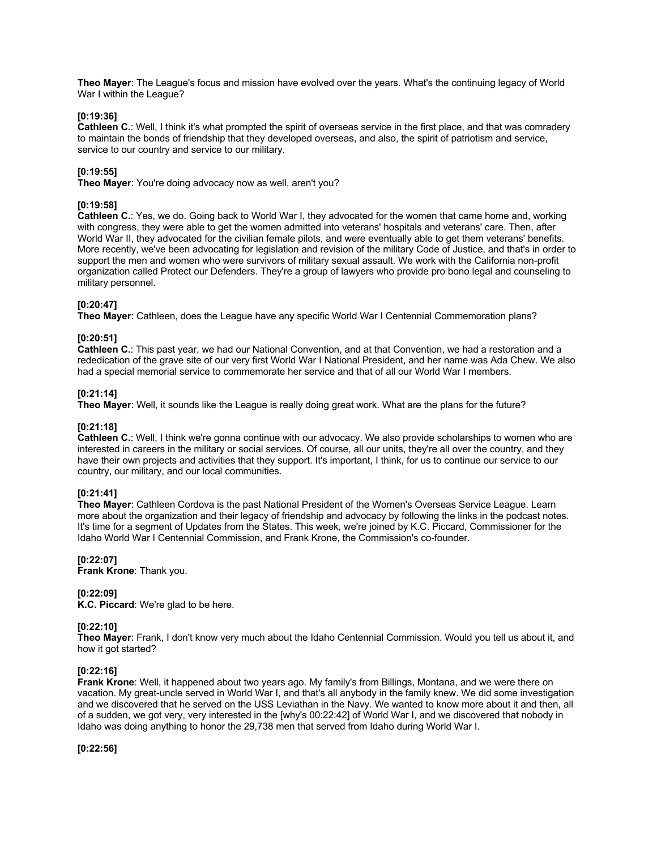**Theo Mayer**: The League's focus and mission have evolved over the years. What's the continuing legacy of World War I within the League?

### **[0:19:36]**

**Cathleen C.**: Well, I think it's what prompted the spirit of overseas service in the first place, and that was comradery to maintain the bonds of friendship that they developed overseas, and also, the spirit of patriotism and service, service to our country and service to our military.

### **[0:19:55]**

**Theo Mayer**: You're doing advocacy now as well, aren't you?

### **[0:19:58]**

**Cathleen C.**: Yes, we do. Going back to World War I, they advocated for the women that came home and, working with congress, they were able to get the women admitted into veterans' hospitals and veterans' care. Then, after World War II, they advocated for the civilian female pilots, and were eventually able to get them veterans' benefits. More recently, we've been advocating for legislation and revision of the military Code of Justice, and that's in order to support the men and women who were survivors of military sexual assault. We work with the California non-profit organization called Protect our Defenders. They're a group of lawyers who provide pro bono legal and counseling to military personnel.

### **[0:20:47]**

**Theo Mayer**: Cathleen, does the League have any specific World War I Centennial Commemoration plans?

### **[0:20:51]**

**Cathleen C.**: This past year, we had our National Convention, and at that Convention, we had a restoration and a rededication of the grave site of our very first World War I National President, and her name was Ada Chew. We also had a special memorial service to commemorate her service and that of all our World War I members.

#### **[0:21:14]**

**Theo Mayer**: Well, it sounds like the League is really doing great work. What are the plans for the future?

### **[0:21:18]**

**Cathleen C.**: Well, I think we're gonna continue with our advocacy. We also provide scholarships to women who are interested in careers in the military or social services. Of course, all our units, they're all over the country, and they have their own projects and activities that they support. It's important, I think, for us to continue our service to our country, our military, and our local communities.

#### **[0:21:41]**

**Theo Mayer**: Cathleen Cordova is the past National President of the Women's Overseas Service League. Learn more about the organization and their legacy of friendship and advocacy by following the links in the podcast notes. It's time for a segment of Updates from the States. This week, we're joined by K.C. Piccard, Commissioner for the Idaho World War I Centennial Commission, and Frank Krone, the Commission's co-founder.

### **[0:22:07]**

**Frank Krone**: Thank you.

#### **[0:22:09]**

**K.C. Piccard**: We're glad to be here.

#### **[0:22:10]**

**Theo Mayer**: Frank, I don't know very much about the Idaho Centennial Commission. Would you tell us about it, and how it got started?

#### **[0:22:16]**

**Frank Krone**: Well, it happened about two years ago. My family's from Billings, Montana, and we were there on vacation. My great-uncle served in World War I, and that's all anybody in the family knew. We did some investigation and we discovered that he served on the USS Leviathan in the Navy. We wanted to know more about it and then, all of a sudden, we got very, very interested in the [why's 00:22:42] of World War I, and we discovered that nobody in Idaho was doing anything to honor the 29,738 men that served from Idaho during World War I.

**[0:22:56]**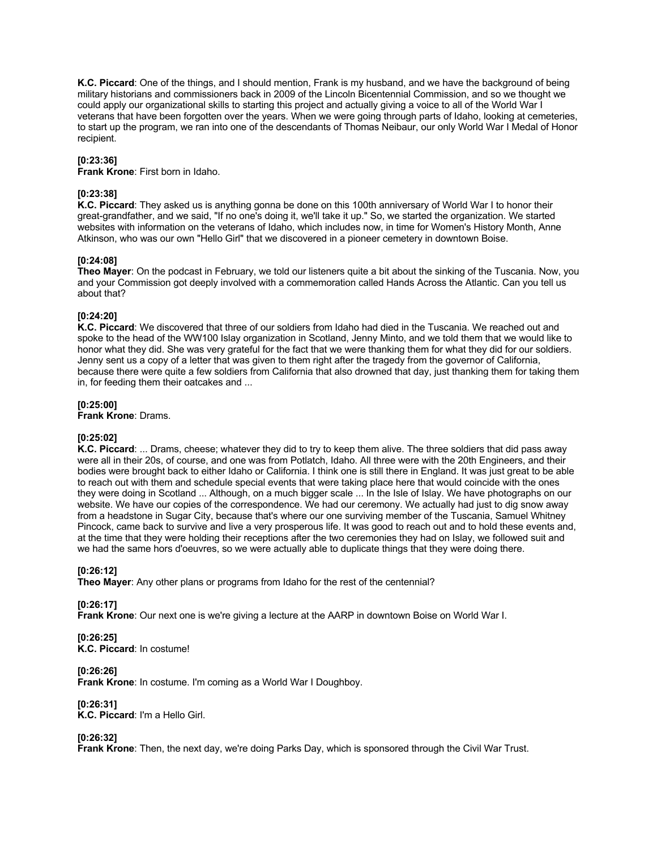**K.C. Piccard**: One of the things, and I should mention, Frank is my husband, and we have the background of being military historians and commissioners back in 2009 of the Lincoln Bicentennial Commission, and so we thought we could apply our organizational skills to starting this project and actually giving a voice to all of the World War I veterans that have been forgotten over the years. When we were going through parts of Idaho, looking at cemeteries, to start up the program, we ran into one of the descendants of Thomas Neibaur, our only World War I Medal of Honor recipient.

### **[0:23:36]**

**Frank Krone**: First born in Idaho.

### **[0:23:38]**

**K.C. Piccard**: They asked us is anything gonna be done on this 100th anniversary of World War I to honor their great-grandfather, and we said, "If no one's doing it, we'll take it up." So, we started the organization. We started websites with information on the veterans of Idaho, which includes now, in time for Women's History Month, Anne Atkinson, who was our own "Hello Girl" that we discovered in a pioneer cemetery in downtown Boise.

### **[0:24:08]**

**Theo Mayer**: On the podcast in February, we told our listeners quite a bit about the sinking of the Tuscania. Now, you and your Commission got deeply involved with a commemoration called Hands Across the Atlantic. Can you tell us about that?

### **[0:24:20]**

**K.C. Piccard**: We discovered that three of our soldiers from Idaho had died in the Tuscania. We reached out and spoke to the head of the WW100 Islay organization in Scotland, Jenny Minto, and we told them that we would like to honor what they did. She was very grateful for the fact that we were thanking them for what they did for our soldiers. Jenny sent us a copy of a letter that was given to them right after the tragedy from the governor of California, because there were quite a few soldiers from California that also drowned that day, just thanking them for taking them in, for feeding them their oatcakes and ...

### **[0:25:00]**

**Frank Krone**: Drams.

### **[0:25:02]**

**K.C. Piccard**: ... Drams, cheese; whatever they did to try to keep them alive. The three soldiers that did pass away were all in their 20s, of course, and one was from Potlatch, Idaho. All three were with the 20th Engineers, and their bodies were brought back to either Idaho or California. I think one is still there in England. It was just great to be able to reach out with them and schedule special events that were taking place here that would coincide with the ones they were doing in Scotland ... Although, on a much bigger scale ... In the Isle of Islay. We have photographs on our website. We have our copies of the correspondence. We had our ceremony. We actually had just to dig snow away from a headstone in Sugar City, because that's where our one surviving member of the Tuscania, Samuel Whitney Pincock, came back to survive and live a very prosperous life. It was good to reach out and to hold these events and, at the time that they were holding their receptions after the two ceremonies they had on Islay, we followed suit and we had the same hors d'oeuvres, so we were actually able to duplicate things that they were doing there.

# **[0:26:12]**

**Theo Mayer**: Any other plans or programs from Idaho for the rest of the centennial?

**[0:26:17]**

**Frank Krone**: Our next one is we're giving a lecture at the AARP in downtown Boise on World War I.

### **[0:26:25]**

**K.C. Piccard**: In costume!

# **[0:26:26]**

**Frank Krone**: In costume. I'm coming as a World War I Doughboy.

# **[0:26:31]**

**K.C. Piccard**: I'm a Hello Girl.

### **[0:26:32]**

**Frank Krone**: Then, the next day, we're doing Parks Day, which is sponsored through the Civil War Trust.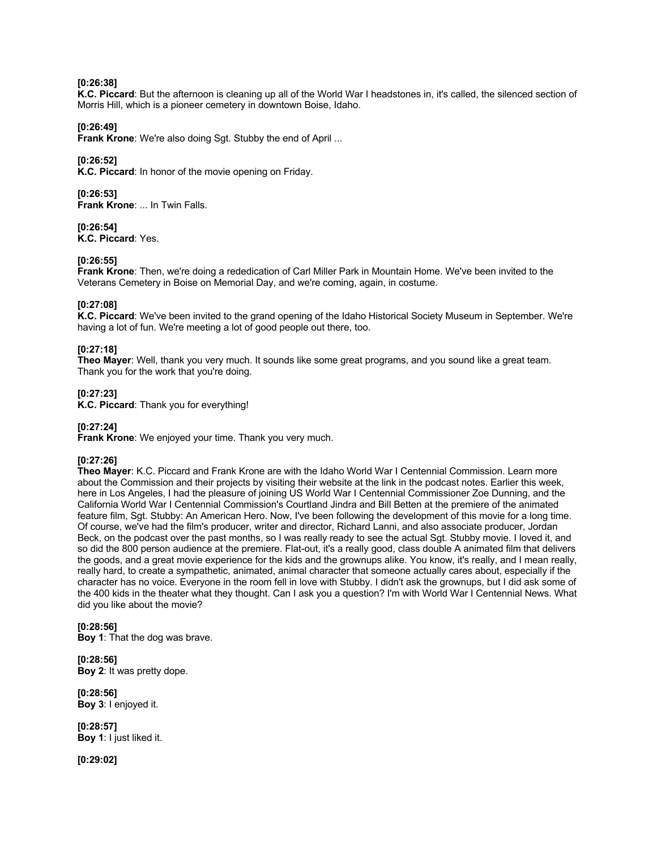### **[0:26:38]**

**K.C. Piccard**: But the afternoon is cleaning up all of the World War I headstones in, it's called, the silenced section of Morris Hill, which is a pioneer cemetery in downtown Boise, Idaho.

### **[0:26:49]**

**Frank Krone:** We're also doing Sgt. Stubby the end of April ...

### **[0:26:52]**

**K.C. Piccard**: In honor of the movie opening on Friday.

### **[0:26:53]**

**Frank Krone**: ... In Twin Falls.

# **[0:26:54]**

**K.C. Piccard**: Yes.

# **[0:26:55]**

**Frank Krone**: Then, we're doing a rededication of Carl Miller Park in Mountain Home. We've been invited to the Veterans Cemetery in Boise on Memorial Day, and we're coming, again, in costume.

### **[0:27:08]**

**K.C. Piccard**: We've been invited to the grand opening of the Idaho Historical Society Museum in September. We're having a lot of fun. We're meeting a lot of good people out there, too.

# **[0:27:18]**

**Theo Mayer**: Well, thank you very much. It sounds like some great programs, and you sound like a great team. Thank you for the work that you're doing.

### **[0:27:23]**

**K.C. Piccard**: Thank you for everything!

### **[0:27:24]**

**Frank Krone**: We enjoyed your time. Thank you very much.

# **[0:27:26]**

**Theo Mayer**: K.C. Piccard and Frank Krone are with the Idaho World War I Centennial Commission. Learn more about the Commission and their projects by visiting their website at the link in the podcast notes. Earlier this week, here in Los Angeles, I had the pleasure of joining US World War I Centennial Commissioner Zoe Dunning, and the California World War I Centennial Commission's Courtland Jindra and Bill Betten at the premiere of the animated feature film, Sgt. Stubby: An American Hero. Now, I've been following the development of this movie for a long time. Of course, we've had the film's producer, writer and director, Richard Lanni, and also associate producer, Jordan Beck, on the podcast over the past months, so I was really ready to see the actual Sgt. Stubby movie. I loved it, and so did the 800 person audience at the premiere. Flat-out, it's a really good, class double A animated film that delivers the goods, and a great movie experience for the kids and the grownups alike. You know, it's really, and I mean really, really hard, to create a sympathetic, animated, animal character that someone actually cares about, especially if the character has no voice. Everyone in the room fell in love with Stubby. I didn't ask the grownups, but I did ask some of the 400 kids in the theater what they thought. Can I ask you a question? I'm with World War I Centennial News. What did you like about the movie?

### **[0:28:56] Boy 1**: That the dog was brave.

**[0:28:56] Boy 2**: It was pretty dope.

**[0:28:56] Boy 3**: I enjoyed it.

**[0:28:57] Boy 1**: I just liked it.

**[0:29:02]**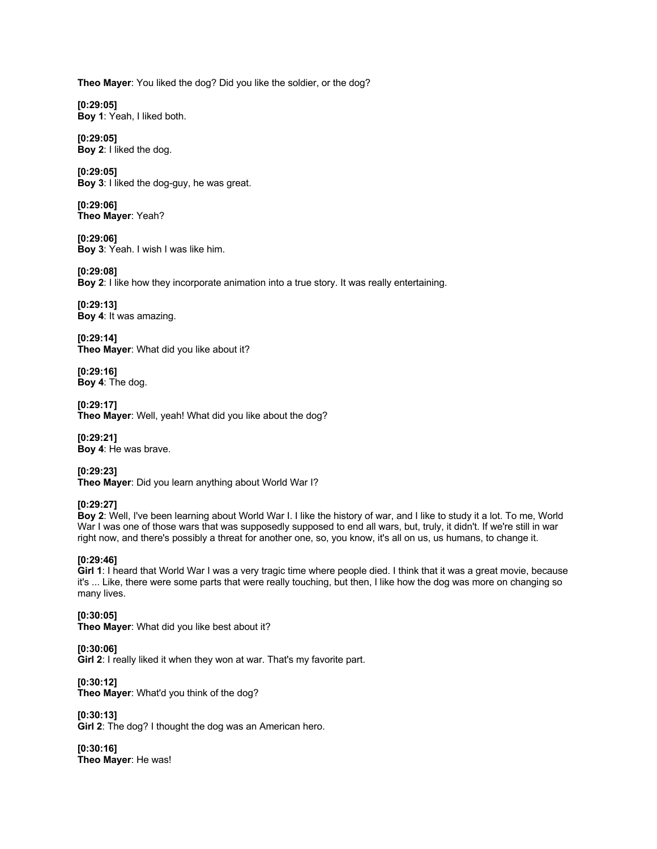**Theo Mayer**: You liked the dog? Did you like the soldier, or the dog?

**[0:29:05] Boy 1**: Yeah, I liked both.

**[0:29:05] Boy 2**: I liked the dog.

**[0:29:05] Boy 3**: I liked the dog-guy, he was great.

**[0:29:06] Theo Mayer**: Yeah?

**[0:29:06] Boy 3**: Yeah. I wish I was like him.

**[0:29:08] Boy 2**: I like how they incorporate animation into a true story. It was really entertaining.

**[0:29:13] Boy 4**: It was amazing.

**[0:29:14] Theo Mayer**: What did you like about it?

**[0:29:16] Boy 4**: The dog.

**[0:29:17] Theo Mayer**: Well, yeah! What did you like about the dog?

**[0:29:21] Boy 4**: He was brave.

**[0:29:23] Theo Mayer**: Did you learn anything about World War I?

# **[0:29:27]**

**Boy 2**: Well, I've been learning about World War I. I like the history of war, and I like to study it a lot. To me, World War I was one of those wars that was supposedly supposed to end all wars, but, truly, it didn't. If we're still in war right now, and there's possibly a threat for another one, so, you know, it's all on us, us humans, to change it.

# **[0:29:46]**

**Girl 1**: I heard that World War I was a very tragic time where people died. I think that it was a great movie, because it's ... Like, there were some parts that were really touching, but then, I like how the dog was more on changing so many lives.

**[0:30:05] Theo Mayer**: What did you like best about it?

**[0:30:06] Girl 2**: I really liked it when they won at war. That's my favorite part.

**[0:30:12] Theo Mayer**: What'd you think of the dog?

**[0:30:13] Girl 2**: The dog? I thought the dog was an American hero.

**[0:30:16] Theo Mayer**: He was!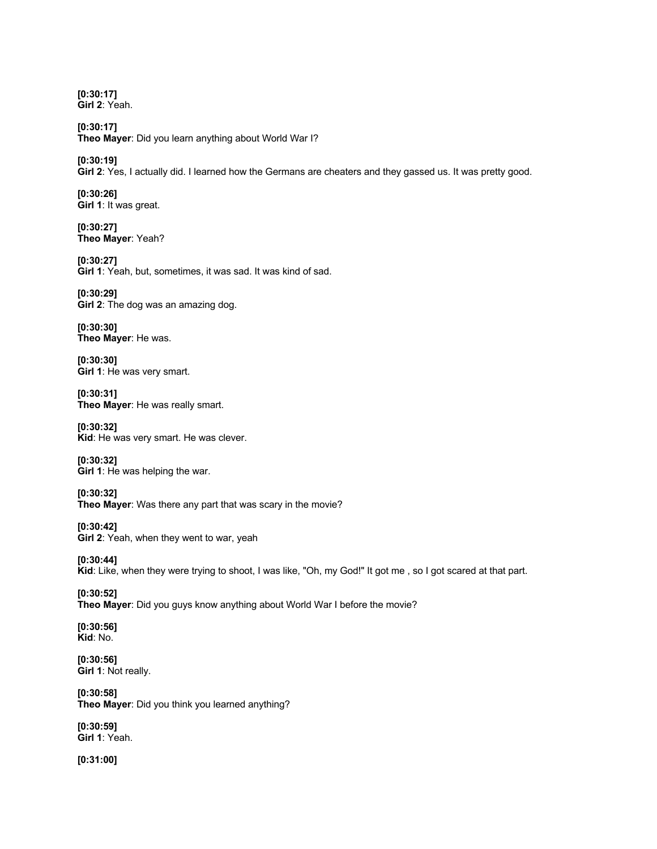**[0:30:17] Girl 2**: Yeah.

**[0:30:17] Theo Mayer**: Did you learn anything about World War I?

**[0:30:19]**

**Girl 2**: Yes, I actually did. I learned how the Germans are cheaters and they gassed us. It was pretty good.

**[0:30:26] Girl 1**: It was great.

**[0:30:27] Theo Mayer**: Yeah?

**[0:30:27] Girl 1**: Yeah, but, sometimes, it was sad. It was kind of sad.

**[0:30:29] Girl 2**: The dog was an amazing dog.

**[0:30:30] Theo Mayer**: He was.

**[0:30:30] Girl 1**: He was very smart.

**[0:30:31] Theo Mayer**: He was really smart.

**[0:30:32] Kid**: He was very smart. He was clever.

**[0:30:32] Girl 1**: He was helping the war.

**[0:30:32] Theo Mayer**: Was there any part that was scary in the movie?

**[0:30:42] Girl 2**: Yeah, when they went to war, yeah

**[0:30:44] Kid**: Like, when they were trying to shoot, I was like, "Oh, my God!" It got me , so I got scared at that part.

**[0:30:52] Theo Mayer**: Did you guys know anything about World War I before the movie?

**[0:30:56] Kid**: No.

**[0:30:56] Girl 1**: Not really.

**[0:30:58] Theo Mayer**: Did you think you learned anything?

**[0:30:59] Girl 1**: Yeah.

**[0:31:00]**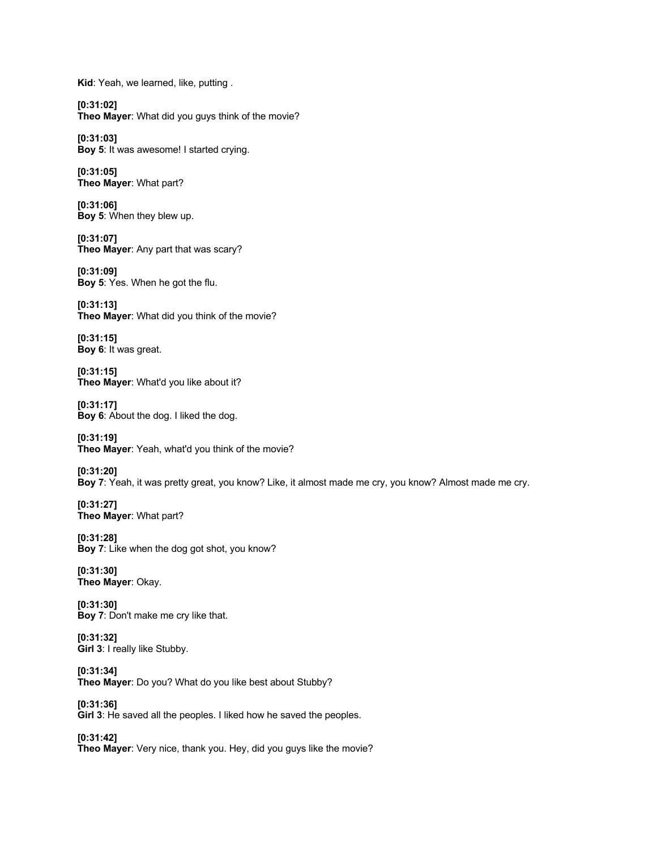**Kid**: Yeah, we learned, like, putting .

**[0:31:02] Theo Mayer**: What did you guys think of the movie?

**[0:31:03] Boy 5**: It was awesome! I started crying.

**[0:31:05] Theo Mayer**: What part?

**[0:31:06] Boy 5**: When they blew up.

**[0:31:07] Theo Mayer**: Any part that was scary?

**[0:31:09] Boy 5**: Yes. When he got the flu.

**[0:31:13] Theo Mayer**: What did you think of the movie?

**[0:31:15] Boy 6**: It was great.

**[0:31:15] Theo Mayer**: What'd you like about it?

**[0:31:17] Boy 6**: About the dog. I liked the dog.

**[0:31:19] Theo Mayer**: Yeah, what'd you think of the movie?

**[0:31:20] Boy 7**: Yeah, it was pretty great, you know? Like, it almost made me cry, you know? Almost made me cry.

**[0:31:27] Theo Mayer**: What part?

**[0:31:28] Boy 7**: Like when the dog got shot, you know?

**[0:31:30] Theo Mayer**: Okay.

**[0:31:30] Boy 7**: Don't make me cry like that.

**[0:31:32] Girl 3**: I really like Stubby.

**[0:31:34] Theo Mayer**: Do you? What do you like best about Stubby?

**[0:31:36] Girl 3**: He saved all the peoples. I liked how he saved the peoples.

**[0:31:42] Theo Mayer**: Very nice, thank you. Hey, did you guys like the movie?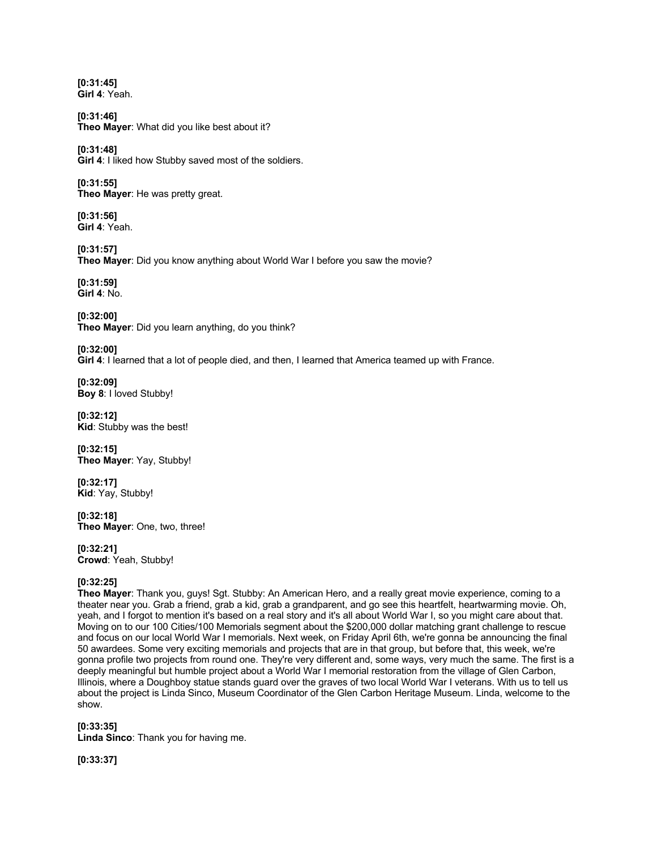**[0:31:45] Girl 4**: Yeah.

**[0:31:46] Theo Mayer**: What did you like best about it?

**[0:31:48] Girl 4**: I liked how Stubby saved most of the soldiers.

**[0:31:55] Theo Mayer**: He was pretty great.

**[0:31:56] Girl 4**: Yeah.

**[0:31:57] Theo Mayer**: Did you know anything about World War I before you saw the movie?

**[0:31:59] Girl 4**: No.

**[0:32:00] Theo Mayer**: Did you learn anything, do you think?

**[0:32:00] Girl 4**: I learned that a lot of people died, and then, I learned that America teamed up with France.

**[0:32:09] Boy 8**: I loved Stubby!

**[0:32:12] Kid**: Stubby was the best!

**[0:32:15] Theo Mayer**: Yay, Stubby!

**[0:32:17] Kid**: Yay, Stubby!

**[0:32:18] Theo Mayer**: One, two, three!

**[0:32:21] Crowd**: Yeah, Stubby!

# **[0:32:25]**

**Theo Mayer**: Thank you, guys! Sgt. Stubby: An American Hero, and a really great movie experience, coming to a theater near you. Grab a friend, grab a kid, grab a grandparent, and go see this heartfelt, heartwarming movie. Oh, yeah, and I forgot to mention it's based on a real story and it's all about World War I, so you might care about that. Moving on to our 100 Cities/100 Memorials segment about the \$200,000 dollar matching grant challenge to rescue and focus on our local World War I memorials. Next week, on Friday April 6th, we're gonna be announcing the final 50 awardees. Some very exciting memorials and projects that are in that group, but before that, this week, we're gonna profile two projects from round one. They're very different and, some ways, very much the same. The first is a deeply meaningful but humble project about a World War I memorial restoration from the village of Glen Carbon, Illinois, where a Doughboy statue stands guard over the graves of two local World War I veterans. With us to tell us about the project is Linda Sinco, Museum Coordinator of the Glen Carbon Heritage Museum. Linda, welcome to the show.

# **[0:33:35]**

**Linda Sinco**: Thank you for having me.

**[0:33:37]**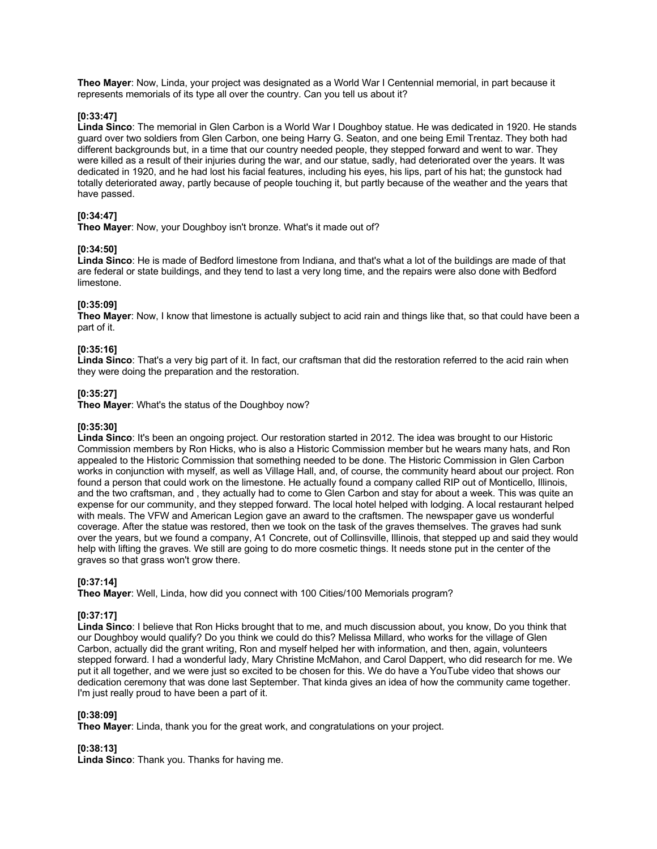**Theo Mayer**: Now, Linda, your project was designated as a World War I Centennial memorial, in part because it represents memorials of its type all over the country. Can you tell us about it?

### **[0:33:47]**

**Linda Sinco**: The memorial in Glen Carbon is a World War I Doughboy statue. He was dedicated in 1920. He stands guard over two soldiers from Glen Carbon, one being Harry G. Seaton, and one being Emil Trentaz. They both had different backgrounds but, in a time that our country needed people, they stepped forward and went to war. They were killed as a result of their injuries during the war, and our statue, sadly, had deteriorated over the years. It was dedicated in 1920, and he had lost his facial features, including his eyes, his lips, part of his hat; the gunstock had totally deteriorated away, partly because of people touching it, but partly because of the weather and the years that have passed.

# **[0:34:47]**

**Theo Mayer**: Now, your Doughboy isn't bronze. What's it made out of?

### **[0:34:50]**

**Linda Sinco**: He is made of Bedford limestone from Indiana, and that's what a lot of the buildings are made of that are federal or state buildings, and they tend to last a very long time, and the repairs were also done with Bedford limestone.

### **[0:35:09]**

**Theo Mayer**: Now, I know that limestone is actually subject to acid rain and things like that, so that could have been a part of it.

# **[0:35:16]**

**Linda Sinco**: That's a very big part of it. In fact, our craftsman that did the restoration referred to the acid rain when they were doing the preparation and the restoration.

### **[0:35:27]**

**Theo Mayer**: What's the status of the Doughboy now?

### **[0:35:30]**

**Linda Sinco**: It's been an ongoing project. Our restoration started in 2012. The idea was brought to our Historic Commission members by Ron Hicks, who is also a Historic Commission member but he wears many hats, and Ron appealed to the Historic Commission that something needed to be done. The Historic Commission in Glen Carbon works in conjunction with myself, as well as Village Hall, and, of course, the community heard about our project. Ron found a person that could work on the limestone. He actually found a company called RIP out of Monticello, Illinois, and the two craftsman, and , they actually had to come to Glen Carbon and stay for about a week. This was quite an expense for our community, and they stepped forward. The local hotel helped with lodging. A local restaurant helped with meals. The VFW and American Legion gave an award to the craftsmen. The newspaper gave us wonderful coverage. After the statue was restored, then we took on the task of the graves themselves. The graves had sunk over the years, but we found a company, A1 Concrete, out of Collinsville, Illinois, that stepped up and said they would help with lifting the graves. We still are going to do more cosmetic things. It needs stone put in the center of the graves so that grass won't grow there.

### **[0:37:14]**

**Theo Mayer**: Well, Linda, how did you connect with 100 Cities/100 Memorials program?

### **[0:37:17]**

**Linda Sinco**: I believe that Ron Hicks brought that to me, and much discussion about, you know, Do you think that our Doughboy would qualify? Do you think we could do this? Melissa Millard, who works for the village of Glen Carbon, actually did the grant writing, Ron and myself helped her with information, and then, again, volunteers stepped forward. I had a wonderful lady, Mary Christine McMahon, and Carol Dappert, who did research for me. We put it all together, and we were just so excited to be chosen for this. We do have a YouTube video that shows our dedication ceremony that was done last September. That kinda gives an idea of how the community came together. I'm just really proud to have been a part of it.

### **[0:38:09]**

**Theo Mayer**: Linda, thank you for the great work, and congratulations on your project.

### **[0:38:13]**

**Linda Sinco**: Thank you. Thanks for having me.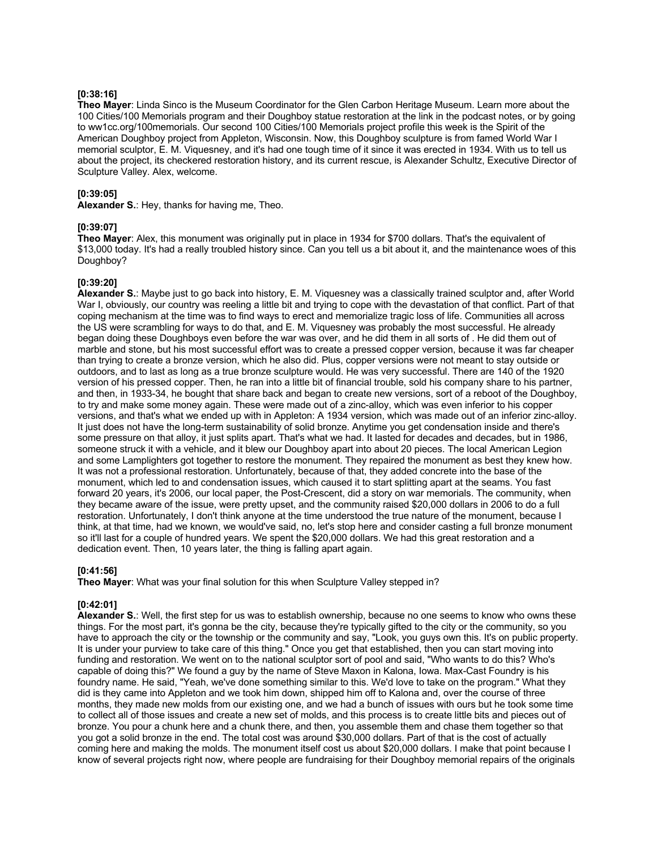### **[0:38:16]**

**Theo Mayer**: Linda Sinco is the Museum Coordinator for the Glen Carbon Heritage Museum. Learn more about the 100 Cities/100 Memorials program and their Doughboy statue restoration at the link in the podcast notes, or by going to ww1cc.org/100memorials. Our second 100 Cities/100 Memorials project profile this week is the Spirit of the American Doughboy project from Appleton, Wisconsin. Now, this Doughboy sculpture is from famed World War I memorial sculptor, E. M. Viquesney, and it's had one tough time of it since it was erected in 1934. With us to tell us about the project, its checkered restoration history, and its current rescue, is Alexander Schultz, Executive Director of Sculpture Valley. Alex, welcome.

### **[0:39:05]**

**Alexander S.**: Hey, thanks for having me, Theo.

### **[0:39:07]**

**Theo Mayer**: Alex, this monument was originally put in place in 1934 for \$700 dollars. That's the equivalent of \$13,000 today. It's had a really troubled history since. Can you tell us a bit about it, and the maintenance woes of this Doughboy?

### **[0:39:20]**

**Alexander S.**: Maybe just to go back into history, E. M. Viquesney was a classically trained sculptor and, after World War I, obviously, our country was reeling a little bit and trying to cope with the devastation of that conflict. Part of that coping mechanism at the time was to find ways to erect and memorialize tragic loss of life. Communities all across the US were scrambling for ways to do that, and E. M. Viquesney was probably the most successful. He already began doing these Doughboys even before the war was over, and he did them in all sorts of . He did them out of marble and stone, but his most successful effort was to create a pressed copper version, because it was far cheaper than trying to create a bronze version, which he also did. Plus, copper versions were not meant to stay outside or outdoors, and to last as long as a true bronze sculpture would. He was very successful. There are 140 of the 1920 version of his pressed copper. Then, he ran into a little bit of financial trouble, sold his company share to his partner, and then, in 1933-34, he bought that share back and began to create new versions, sort of a reboot of the Doughboy, to try and make some money again. These were made out of a zinc-alloy, which was even inferior to his copper versions, and that's what we ended up with in Appleton: A 1934 version, which was made out of an inferior zinc-alloy. It just does not have the long-term sustainability of solid bronze. Anytime you get condensation inside and there's some pressure on that alloy, it just splits apart. That's what we had. It lasted for decades and decades, but in 1986, someone struck it with a vehicle, and it blew our Doughboy apart into about 20 pieces. The local American Legion and some Lamplighters got together to restore the monument. They repaired the monument as best they knew how. It was not a professional restoration. Unfortunately, because of that, they added concrete into the base of the monument, which led to and condensation issues, which caused it to start splitting apart at the seams. You fast forward 20 years, it's 2006, our local paper, the Post-Crescent, did a story on war memorials. The community, when they became aware of the issue, were pretty upset, and the community raised \$20,000 dollars in 2006 to do a full restoration. Unfortunately, I don't think anyone at the time understood the true nature of the monument, because I think, at that time, had we known, we would've said, no, let's stop here and consider casting a full bronze monument so it'll last for a couple of hundred years. We spent the \$20,000 dollars. We had this great restoration and a dedication event. Then, 10 years later, the thing is falling apart again.

# **[0:41:56]**

**Theo Mayer**: What was your final solution for this when Sculpture Valley stepped in?

# **[0:42:01]**

**Alexander S.**: Well, the first step for us was to establish ownership, because no one seems to know who owns these things. For the most part, it's gonna be the city, because they're typically gifted to the city or the community, so you have to approach the city or the township or the community and say, "Look, you guys own this. It's on public property. It is under your purview to take care of this thing." Once you get that established, then you can start moving into funding and restoration. We went on to the national sculptor sort of pool and said, "Who wants to do this? Who's capable of doing this?" We found a guy by the name of Steve Maxon in Kalona, Iowa. Max-Cast Foundry is his foundry name. He said, "Yeah, we've done something similar to this. We'd love to take on the program." What they did is they came into Appleton and we took him down, shipped him off to Kalona and, over the course of three months, they made new molds from our existing one, and we had a bunch of issues with ours but he took some time to collect all of those issues and create a new set of molds, and this process is to create little bits and pieces out of bronze. You pour a chunk here and a chunk there, and then, you assemble them and chase them together so that you got a solid bronze in the end. The total cost was around \$30,000 dollars. Part of that is the cost of actually coming here and making the molds. The monument itself cost us about \$20,000 dollars. I make that point because I know of several projects right now, where people are fundraising for their Doughboy memorial repairs of the originals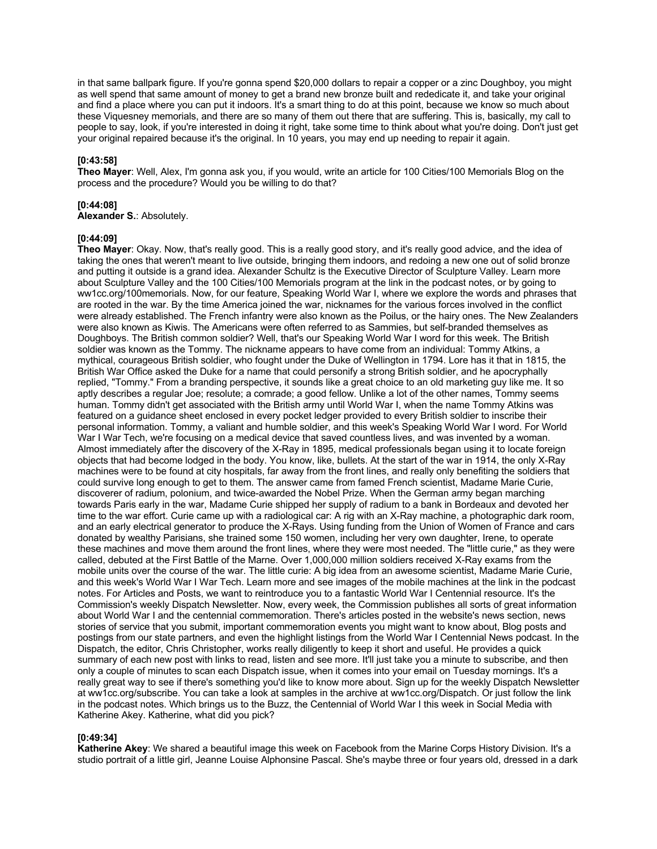in that same ballpark figure. If you're gonna spend \$20,000 dollars to repair a copper or a zinc Doughboy, you might as well spend that same amount of money to get a brand new bronze built and rededicate it, and take your original and find a place where you can put it indoors. It's a smart thing to do at this point, because we know so much about these Viquesney memorials, and there are so many of them out there that are suffering. This is, basically, my call to people to say, look, if you're interested in doing it right, take some time to think about what you're doing. Don't just get your original repaired because it's the original. In 10 years, you may end up needing to repair it again.

### **[0:43:58]**

**Theo Mayer**: Well, Alex, I'm gonna ask you, if you would, write an article for 100 Cities/100 Memorials Blog on the process and the procedure? Would you be willing to do that?

#### **[0:44:08]**

**Alexander S.**: Absolutely.

### **[0:44:09]**

**Theo Mayer**: Okay. Now, that's really good. This is a really good story, and it's really good advice, and the idea of taking the ones that weren't meant to live outside, bringing them indoors, and redoing a new one out of solid bronze and putting it outside is a grand idea. Alexander Schultz is the Executive Director of Sculpture Valley. Learn more about Sculpture Valley and the 100 Cities/100 Memorials program at the link in the podcast notes, or by going to ww1cc.org/100memorials. Now, for our feature, Speaking World War I, where we explore the words and phrases that are rooted in the war. By the time America joined the war, nicknames for the various forces involved in the conflict were already established. The French infantry were also known as the Poilus, or the hairy ones. The New Zealanders were also known as Kiwis. The Americans were often referred to as Sammies, but self-branded themselves as Doughboys. The British common soldier? Well, that's our Speaking World War I word for this week. The British soldier was known as the Tommy. The nickname appears to have come from an individual: Tommy Atkins, a mythical, courageous British soldier, who fought under the Duke of Wellington in 1794. Lore has it that in 1815, the British War Office asked the Duke for a name that could personify a strong British soldier, and he apocryphally replied, "Tommy." From a branding perspective, it sounds like a great choice to an old marketing guy like me. It so aptly describes a regular Joe; resolute; a comrade; a good fellow. Unlike a lot of the other names, Tommy seems human. Tommy didn't get associated with the British army until World War I, when the name Tommy Atkins was featured on a guidance sheet enclosed in every pocket ledger provided to every British soldier to inscribe their personal information. Tommy, a valiant and humble soldier, and this week's Speaking World War I word. For World War I War Tech, we're focusing on a medical device that saved countless lives, and was invented by a woman. Almost immediately after the discovery of the X-Ray in 1895, medical professionals began using it to locate foreign objects that had become lodged in the body. You know, like, bullets. At the start of the war in 1914, the only X-Ray machines were to be found at city hospitals, far away from the front lines, and really only benefiting the soldiers that could survive long enough to get to them. The answer came from famed French scientist, Madame Marie Curie, discoverer of radium, polonium, and twice-awarded the Nobel Prize. When the German army began marching towards Paris early in the war, Madame Curie shipped her supply of radium to a bank in Bordeaux and devoted her time to the war effort. Curie came up with a radiological car: A rig with an X-Ray machine, a photographic dark room, and an early electrical generator to produce the X-Rays. Using funding from the Union of Women of France and cars donated by wealthy Parisians, she trained some 150 women, including her very own daughter, Irene, to operate these machines and move them around the front lines, where they were most needed. The "little curie," as they were called, debuted at the First Battle of the Marne. Over 1,000,000 million soldiers received X-Ray exams from the mobile units over the course of the war. The little curie: A big idea from an awesome scientist, Madame Marie Curie, and this week's World War I War Tech. Learn more and see images of the mobile machines at the link in the podcast notes. For Articles and Posts, we want to reintroduce you to a fantastic World War I Centennial resource. It's the Commission's weekly Dispatch Newsletter. Now, every week, the Commission publishes all sorts of great information about World War I and the centennial commemoration. There's articles posted in the website's news section, news stories of service that you submit, important commemoration events you might want to know about, Blog posts and postings from our state partners, and even the highlight listings from the World War I Centennial News podcast. In the Dispatch, the editor, Chris Christopher, works really diligently to keep it short and useful. He provides a quick summary of each new post with links to read, listen and see more. It'll just take you a minute to subscribe, and then only a couple of minutes to scan each Dispatch issue, when it comes into your email on Tuesday mornings. It's a really great way to see if there's something you'd like to know more about. Sign up for the weekly Dispatch Newsletter at ww1cc.org/subscribe. You can take a look at samples in the archive at ww1cc.org/Dispatch. Or just follow the link in the podcast notes. Which brings us to the Buzz, the Centennial of World War I this week in Social Media with Katherine Akey. Katherine, what did you pick?

#### **[0:49:34]**

**Katherine Akey**: We shared a beautiful image this week on Facebook from the Marine Corps History Division. It's a studio portrait of a little girl, Jeanne Louise Alphonsine Pascal. She's maybe three or four years old, dressed in a dark